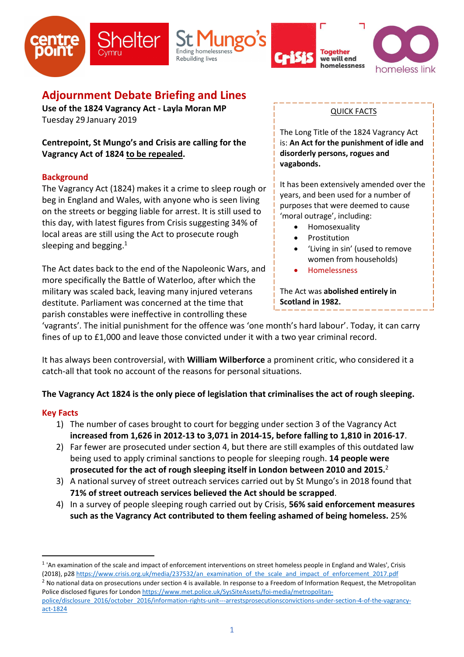







# Adjournment Debate Briefing and Lines

Use of the 1824 Vagrancy Act - Layla Moran MP Tuesday 29 January 2019

Centrepoint, St Mungo's and Crisis are calling for the Vagrancy Act of 1824 to be repealed.

## **Background**

The Vagrancy Act (1824) makes it a crime to sleep rough or beg in England and Wales, with anyone who is seen living on the streets or begging liable for arrest. It is still used to this day, with latest figures from Crisis suggesting 34% of local areas are still using the Act to prosecute rough sleeping and begging. $1$ 

The Act dates back to the end of the Napoleonic Wars, and more specifically the Battle of Waterloo, after which the military was scaled back, leaving many injured veterans destitute. Parliament was concerned at the time that parish constables were ineffective in controlling these

### QUICK FACTS

The Long Title of the 1824 Vagrancy Act is: An Act for the punishment of idle and disorderly persons, rogues and vagabonds.

It has been extensively amended over the years, and been used for a number of purposes that were deemed to cause 'moral outrage', including:

- Homosexuality
- Prostitution
- 'Living in sin' (used to remove women from households)
- Homelessness

The Act was abolished entirely in Scotland in 1982.

'vagrants'. The initial punishment for the offence was 'one month's hard labour'. Today, it can carry fines of up to £1,000 and leave those convicted under it with a two year criminal record.

It has always been controversial, with William Wilberforce a prominent critic, who considered it a catch-all that took no account of the reasons for personal situations.

## The Vagrancy Act 1824 is the only piece of legislation that criminalises the act of rough sleeping.

### Key Facts

- 1) The number of cases brought to court for begging under section 3 of the Vagrancy Act increased from 1,626 in 2012-13 to 3,071 in 2014-15, before falling to 1,810 in 2016-17.
- 2) Far fewer are prosecuted under section 4, but there are still examples of this outdated law being used to apply criminal sanctions to people for sleeping rough. **14 people were** prosecuted for the act of rough sleeping itself in London between 2010 and 2015. $^2$
- 3) A national survey of street outreach services carried out by St Mungo's in 2018 found that 71% of street outreach services believed the Act should be scrapped.
- 4) In a survey of people sleeping rough carried out by Crisis, 56% said enforcement measures such as the Vagrancy Act contributed to them feeling ashamed of being homeless. 25%

-

<sup>&</sup>lt;sup>1</sup> 'An examination of the scale and impact of enforcement interventions on street homeless people in England and Wales', Crisis (2018), p28 https://www.crisis.org.uk/media/237532/an\_examination\_of\_the\_scale\_and\_impact\_of\_enforcement\_2017.pdf

 $<sup>2</sup>$  No national data on prosecutions under section 4 is available. In response to a Freedom of Information Request, the Metropolitan</sup> Police disclosed figures for London https://www.met.police.uk/SysSiteAssets/foi-media/metropolitanpolice/disclosure\_2016/october\_2016/information-rights-unit---arrestsprosecutionsconvictions-under-section-4-of-the-vagrancy-

act-1824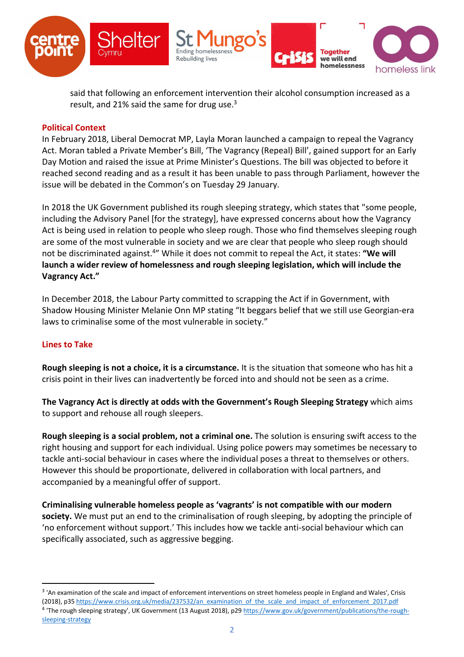

said that following an enforcement intervention their alcohol consumption increased as a result, and 21% said the same for drug use.<sup>3</sup>

#### Political Context

In February 2018, Liberal Democrat MP, Layla Moran launched a campaign to repeal the Vagrancy Act. Moran tabled a Private Member's Bill, 'The Vagrancy (Repeal) Bill', gained support for an Early Day Motion and raised the issue at Prime Minister's Questions. The bill was objected to before it reached second reading and as a result it has been unable to pass through Parliament, however the issue will be debated in the Common's on Tuesday 29 January.

In 2018 the UK Government published its rough sleeping strategy, which states that "some people, including the Advisory Panel [for the strategy], have expressed concerns about how the Vagrancy Act is being used in relation to people who sleep rough. Those who find themselves sleeping rough are some of the most vulnerable in society and we are clear that people who sleep rough should not be discriminated against.<sup>4"</sup> While it does not commit to repeal the Act, it states: "We will launch a wider review of homelessness and rough sleeping legislation, which will include the Vagrancy Act."

In December 2018, the Labour Party committed to scrapping the Act if in Government, with Shadow Housing Minister Melanie Onn MP stating "It beggars belief that we still use Georgian-era laws to criminalise some of the most vulnerable in society."

### Lines to Take

-

Rough sleeping is not a choice, it is a circumstance. It is the situation that someone who has hit a crisis point in their lives can inadvertently be forced into and should not be seen as a crime.

The Vagrancy Act is directly at odds with the Government's Rough Sleeping Strategy which aims to support and rehouse all rough sleepers.

Rough sleeping is a social problem, not a criminal one. The solution is ensuring swift access to the right housing and support for each individual. Using police powers may sometimes be necessary to tackle anti-social behaviour in cases where the individual poses a threat to themselves or others. However this should be proportionate, delivered in collaboration with local partners, and accompanied by a meaningful offer of support.

Criminalising vulnerable homeless people as 'vagrants' is not compatible with our modern society. We must put an end to the criminalisation of rough sleeping, by adopting the principle of 'no enforcement without support.' This includes how we tackle anti-social behaviour which can specifically associated, such as aggressive begging.

<sup>&</sup>lt;sup>3</sup> 'An examination of the scale and impact of enforcement interventions on street homeless people in England and Wales', Crisis (2018), p35 https://www.crisis.org.uk/media/237532/an\_examination\_of\_the\_scale\_and\_impact\_of\_enforcement\_2017.pdf <sup>4</sup> 'The rough sleeping strategy', UK Government (13 August 2018), p29 https://www.gov.uk/government/publications/the-roughsleeping-strategy